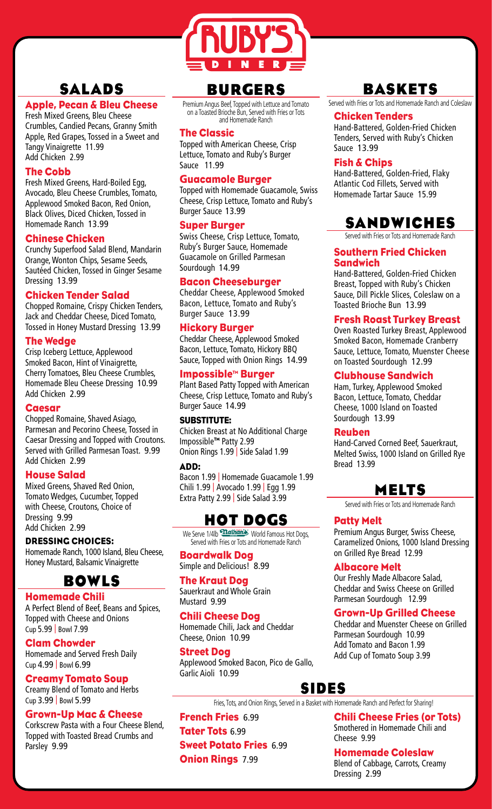

# **SALADS**

## Apple, Pecan & Bleu Cheese

Fresh Mixed Greens, Bleu Cheese Crumbles, Candied Pecans, Granny Smith Apple, Red Grapes, Tossed in a Sweet and Tangy Vinaigrette 11.99 Add Chicken 2.99

## The Cobb

Fresh Mixed Greens, Hard-Boiled Egg, Avocado, Bleu Cheese Crumbles, Tomato, Applewood Smoked Bacon, Red Onion, Black Olives, Diced Chicken, Tossed in Homemade Ranch 13.99

## Chinese Chicken

Crunchy Superfood Salad Blend, Mandarin Orange, Wonton Chips, Sesame Seeds, Sautéed Chicken, Tossed in Ginger Sesame Dressing 13.99

## Chicken Tender Salad

Chopped Romaine, Crispy Chicken Tenders, Jack and Cheddar Cheese, Diced Tomato, Tossed in Honey Mustard Dressing 13.99

## The Wedge

Crisp Iceberg Lettuce, Applewood Smoked Bacon, Hint of Vinaigrette, Cherry Tomatoes, Bleu Cheese Crumbles, Homemade Bleu Cheese Dressing 10.99 Add Chicken 2.99

## Caesar

Chopped Romaine, Shaved Asiago, Parmesan and Pecorino Cheese, Tossed in Caesar Dressing and Topped with Croutons. Served with Grilled Parmesan Toast. 9.99 Add Chicken 2.99

## House Salad

Mixed Greens, Shaved Red Onion, Tomato Wedges, Cucumber, Topped with Cheese, Croutons, Choice of Dressing 9.99 Add Chicken 2.99

## DRESSING CHOICES:

Homemade Ranch, 1000 Island, Bleu Cheese, Honey Mustard, Balsamic Vinaigrette

# **BOWLS**

Homemade Chili

A Perfect Blend of Beef, Beans and Spices, Topped with Cheese and Onions Cup 5.99 | Bowl 7.99

## Clam Chowder

Homemade and Served Fresh Daily Cup 4.99 | Bowl 6.99

## Creamy Tomato Soup

Creamy Blend of Tomato and Herbs Cup 3.99 | Bowl 5.99

## Grown-Up Mac & Cheese

Corkscrew Pasta with a Four Cheese Blend, Topped with Toasted Bread Crumbs and Parsley 9.99

# **BUR**G**ERS**

Premium Angus Beef, Topped with Lettuce and Tomato on a Toasted Brioche Bun, Served with Fries or Tots and Homemade Ranch

#### The Classic

Topped with American Cheese, Crisp Lettuce, Tomato and Ruby's Burger Sauce 11.99

## Guacamole Burger

Topped with Homemade Guacamole, Swiss Cheese, Crisp Lettuce, Tomato and Ruby's Burger Sauce 13.99

## Super Burger

Swiss Cheese, Crisp Lettuce, Tomato, Ruby's Burger Sauce, Homemade Guacamole on Grilled Parmesan Sourdough 14.99

## Bacon Cheeseburger

Cheddar Cheese, Applewood Smoked Bacon, Lettuce, Tomato and Ruby's Burger Sauce 13.99

## Hickory Burger

Cheddar Cheese, Applewood Smoked Bacon, Lettuce, Tomato, Hickory BBQ Sauce, Topped with Onion Rings 14.99

## Impossible™ Burger

Plant Based Patty Topped with American Cheese, Crisp Lettuce, Tomato and Ruby's Burger Sauce 14.99

## SUBSTITUTE:

Chicken Breast at No Additional Charge Impossible™ Patty 2.99 Onion Rings 1.99 | Side Salad 1.99

## ADD:

Bacon 1.99 | Homemade Guacamole 1.99 Chili 1.99 | Avocado 1.99 | Egg 1.99 Extra Patty 2.99 | Side Salad 3.99

# **HOT DO**G**S**

We Serve 1/4lb *Mathan's* World Famous Hot Dogs, Served with Fries or Tots and Homemade Ranch

Boardwalk Dog Simple and Delicious! 8.99

## The Kraut Dog

Sauerkraut and Whole Grain Mustard 9.99

## Chili Cheese Dog

Homemade Chili, Jack and Cheddar Cheese, Onion 10.99

## Street Dog

Applewood Smoked Bacon, Pico de Gallo, Garlic Aioli 10.99

# **SIDES**

Fries, Tots, and Onion Rings, Served in a Basket with Homemade Ranch and Perfect for Sharing!

French Fries 6.99 Tater Tots 6.99 Sweet Potato Fries 6.99 **Onion Rings 7.99** 

# **BASKETS**

Served with Fries or Tots and Homemade Ranch and Coleslaw

#### Chicken Tenders

Hand-Battered, Golden-Fried Chicken Tenders, Served with Ruby's Chicken Sauce 13.99

## Fish & Chips

Hand-Battered, Golden-Fried, Flaky Atlantic Cod Fillets, Served with Homemade Tartar Sauce 15.99

# **SANDWICHES**

Served with Fries or Tots and Homemade Ranch

#### Southern Fried Chicken Sandwich

Hand-Battered, Golden-Fried Chicken Breast, Topped with Ruby's Chicken Sauce, Dill Pickle Slices, Coleslaw on a Toasted Brioche Bun 13.99

## Fresh Roast Turkey Breast

Oven Roasted Turkey Breast, Applewood Smoked Bacon, Homemade Cranberry Sauce, Lettuce, Tomato, Muenster Cheese on Toasted Sourdough 12.99

## Clubhouse Sandwich

Ham, Turkey, Applewood Smoked Bacon, Lettuce, Tomato, Cheddar Cheese, 1000 Island on Toasted Sourdough 13.99

## Reuben

Hand-Carved Corned Beef, Sauerkraut, Melted Swiss, 1000 Island on Grilled Rye Bread 13.99

## **MELTS**

Served with Fries or Tots and Homemade Ranch

## Patty Melt

Premium Angus Burger, Swiss Cheese, Caramelized Onions, 1000 Island Dressing on Grilled Rye Bread 12.99

## Albacore Melt

Our Freshly Made Albacore Salad, Cheddar and Swiss Cheese on Grilled Parmesan Sourdough 12.99

## Grown-Up Grilled Cheese

Cheddar and Muenster Cheese on Grilled Parmesan Sourdough 10.99 Add Tomato and Bacon 1.99 Add Cup of Tomato Soup 3.99

Chili Cheese Fries (or Tots) Smothered in Homemade Chili and Cheese 9.99

Homemade Coleslaw Blend of Cabbage, Carrots, Creamy Dressing 2.99